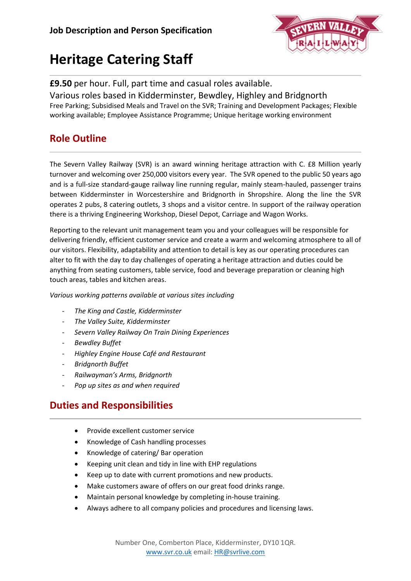

# **Heritage Catering Staff**

#### **£9.50** per hour. Full, part time and casual roles available. Various roles based in Kidderminster, Bewdley, Highley and Bridgnorth Free Parking; Subsidised Meals and Travel on the SVR; Training and Development Packages; Flexible working available; Employee Assistance Programme; Unique heritage working environment

## **Role Outline**

The Severn Valley Railway (SVR) is an award winning heritage attraction with C. £8 Million yearly turnover and welcoming over 250,000 visitors every year. The SVR opened to the public 50 years ago and is a full-size standard-gauge railway line running regular, mainly steam-hauled, passenger trains between Kidderminster in Worcestershire and Bridgnorth in Shropshire. Along the line the SVR operates 2 pubs, 8 catering outlets, 3 shops and a visitor centre. In support of the railway operation there is a thriving Engineering Workshop, Diesel Depot, Carriage and Wagon Works.

Reporting to the relevant unit management team you and your colleagues will be responsible for delivering friendly, efficient customer service and create a warm and welcoming atmosphere to all of our visitors. Flexibility, adaptability and attention to detail is key as our operating procedures can alter to fit with the day to day challenges of operating a heritage attraction and duties could be anything from seating customers, table service, food and beverage preparation or cleaning high touch areas, tables and kitchen areas.

*Various working patterns available at various sites including*

- *The King and Castle, Kidderminster*
- *The Valley Suite, Kidderminster*
- *Severn Valley Railway On Train Dining Experiences*
- *Bewdley Buffet*
- *Highley Engine House Café and Restaurant*
- *Bridgnorth Buffet*
- *Railwayman's Arms, Bridgnorth*
- *Pop up sites as and when required*

## **Duties and Responsibilities**

- Provide excellent customer service
- Knowledge of Cash handling processes
- Knowledge of catering/ Bar operation
- Keeping unit clean and tidy in line with EHP regulations
- Keep up to date with current promotions and new products.
- Make customers aware of offers on our great food drinks range.
- Maintain personal knowledge by completing in-house training.
- Always adhere to all company policies and procedures and licensing laws.